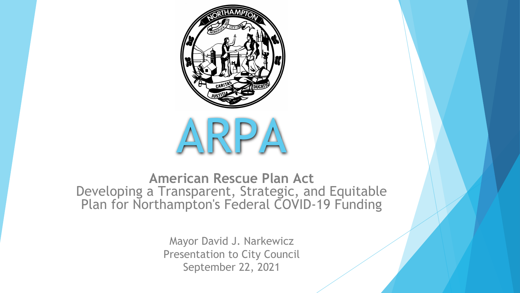

**American Rescue Plan Act** Developing a Transparent, Strategic, and Equitable Plan for Northampton's Federal COVID-19 Funding

> Mayor David J. Narkewicz Presentation to City Council September 22, 2021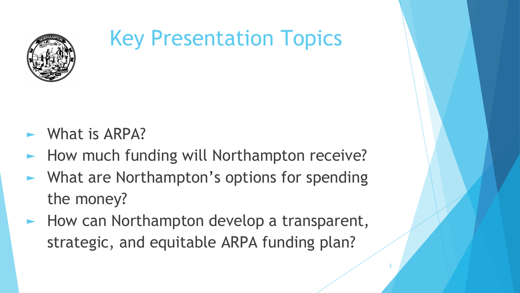

# Key Presentation Topics

- $\blacktriangleright$  What is ARPA?
- How much funding will Northampton receive?
- ► What are Northampton's options for spending the money?
- How can Northampton develop a transparent, strategic, and equitable ARPA funding plan?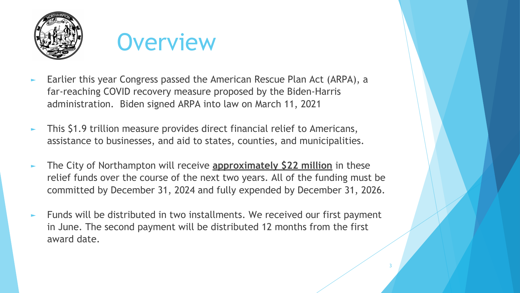



- Earlier this year Congress passed the American Rescue Plan Act (ARPA), a far-reaching COVID recovery measure proposed by the Biden-Harris administration. Biden signed ARPA into law on March 11, 2021
- ► This \$1.9 trillion measure provides direct financial relief to Americans, assistance to businesses, and aid to states, counties, and municipalities.
- The City of Northampton will receive **approximately \$22 million** in these relief funds over the course of the next two years. All of the funding must be committed by December 31, 2024 and fully expended by December 31, 2026.
- Funds will be distributed in two installments. We received our first payment in June. The second payment will be distributed 12 months from the first award date.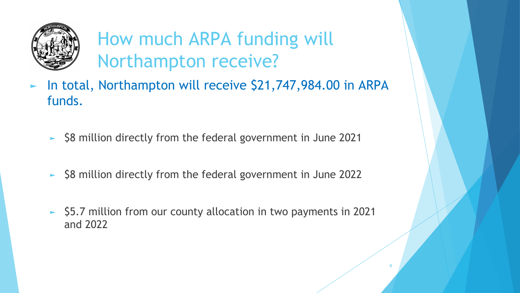

### How much ARPA funding will Northampton receive?

- In total, Northampton will receive \$21,747,984.00 in ARPA funds.
	- ► \$8 million directly from the federal government in June 2021
	- ► \$8 million directly from the federal government in June 2022
	- ► \$5.7 million from our county allocation in two payments in 2021 and 2022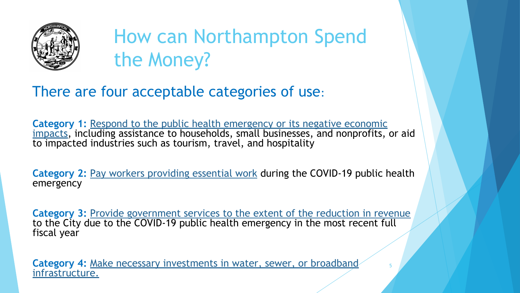

## How can Northampton Spend the Money?

### There are four acceptable categories of use:

Category 1: Respond to the public health emergency or its negative economic impacts, including assistance to households, small businesses, and nonprofits, or aid to impacted industries such as tourism, travel, and hospitality

**Category 2:** Pay workers providing essential work during the COVID-19 public health emergency

Category 3: Provide government services to the extent of the reduction in revenue to the City due to the COVID-19 public health emergency in the most recent full fiscal year

5

**Category 4:** Make necessary investments in water, sewer, or broadband infrastructure.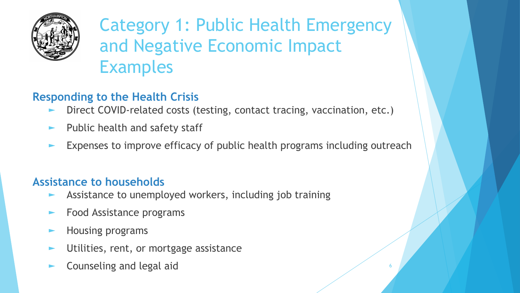

Category 1: Public Health Emergency and Negative Economic Impact Examples

#### **Responding to the Health Crisis**

- Direct COVID-related costs (testing, contact tracing, vaccination, etc.)
- Public health and safety staff
- Expenses to improve efficacy of public health programs including outreach

#### **Assistance to households**

- Assistance to unemployed workers, including job training
- Food Assistance programs
- ► Housing programs
- Utilities, rent, or mortgage assistance
- Counseling and legal aid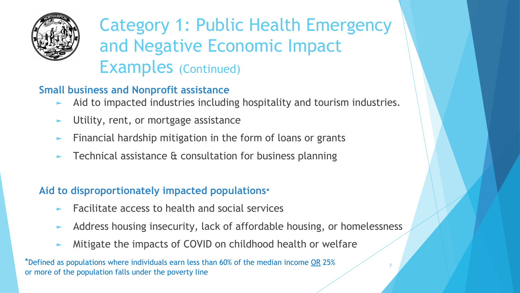

### Category 1: Public Health Emergency and Negative Economic Impact Examples (Continued)

#### **Small business and Nonprofit assistance**

- Aid to impacted industries including hospitality and tourism industries.
- Utility, rent, or mortgage assistance
- Financial hardship mitigation in the form of loans or grants
- Technical assistance & consultation for business planning

#### **Aid to disproportionately impacted populations\***

- Facilitate access to health and social services
- Address housing insecurity, lack of affordable housing, or homelessness

7

Mitigate the impacts of COVID on childhood health or welfare

\*Defined as populations where individuals earn less than 60% of the median income OR 25% or more of the population falls under the poverty line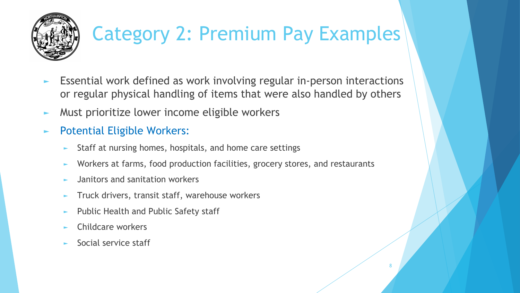

## Category 2: Premium Pay Examples

- ► Essential work defined as work involving regular in-person interactions or regular physical handling of items that were also handled by others
- ► Must prioritize lower income eligible workers
- ► Potential Eligible Workers:
	- Staff at nursing homes, hospitals, and home care settings
	- Workers at farms, food production facilities, grocery stores, and restaurants
	- ► Janitors and sanitation workers
	- Truck drivers, transit staff, warehouse workers
	- Public Health and Public Safety staff
	- ► Childcare workers
	- ► Social service staff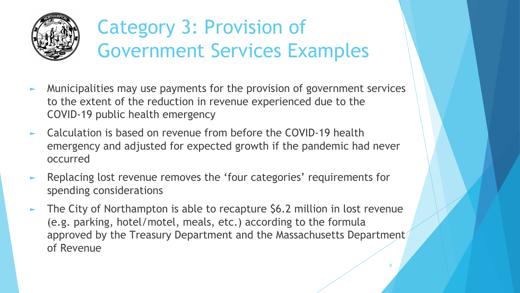

## Category 3: Provision of Government Services Examples

- ► Municipalities may use payments for the provision of government services to the extent of the reduction in revenue experienced due to the COVID-19 public health emergency
- ► Calculation is based on revenue from before the COVID-19 health emergency and adjusted for expected growth if the pandemic had never occurred
- ► Replacing lost revenue removes the 'four categories' requirements for spending considerations
- The City of Northampton is able to recapture \$6.2 million in lost revenue (e.g. parking, hotel/motel, meals, etc.) according to the formula approved by the Treasury Department and the Massachusetts Department of Revenue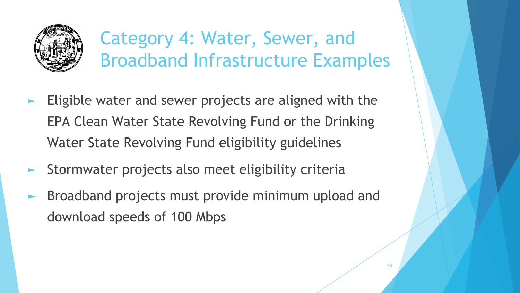

### Category 4: Water, Sewer, and Broadband Infrastructure Examples

- Eligible water and sewer projects are aligned with the EPA Clean Water State Revolving Fund or the Drinking Water State Revolving Fund eligibility guidelines
- Stormwater projects also meet eligibility criteria
- Broadband projects must provide minimum upload and download speeds of 100 Mbps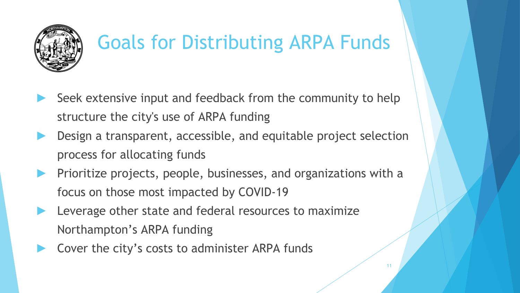

## Goals for Distributing ARPA Funds

- Seek extensive input and feedback from the community to help structure the city's use of ARPA funding
- Design a transparent, accessible, and equitable project selection process for allocating funds
- Prioritize projects, people, businesses, and organizations with a focus on those most impacted by COVID-19

- Leverage other state and federal resources to maximize Northampton's ARPA funding
- Cover the city's costs to administer ARPA funds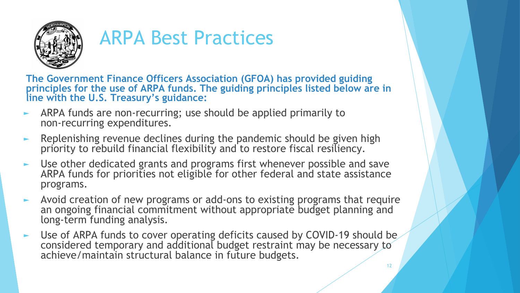

### ARPA Best Practices

**The Government Finance Officers Association (GFOA) has provided guiding principles for the use of ARPA funds. The guiding principles listed below are in line with the U.S. Treasury's guidance:**

- ARPA funds are non-recurring; use should be applied primarily to non-recurring expenditures.
- $\blacktriangleright$  Replenishing revenue declines during the pandemic should be given high priority to rebuild financial flexibility and to restore fiscal resiliency.
- Use other dedicated grants and programs first whenever possible and save ARPA funds for priorities not eligible for other federal and state assistance programs.
- ► Avoid creation of new programs or add-ons to existing programs that require an ongoing financial commitment without appropriate budget planning and long-term funding analysis.
- ► Use of ARPA funds to cover operating deficits caused by COVID-19 should be considered temporary and additional budget restraint may be necessary to achieve/maintain structural balance in future budgets.